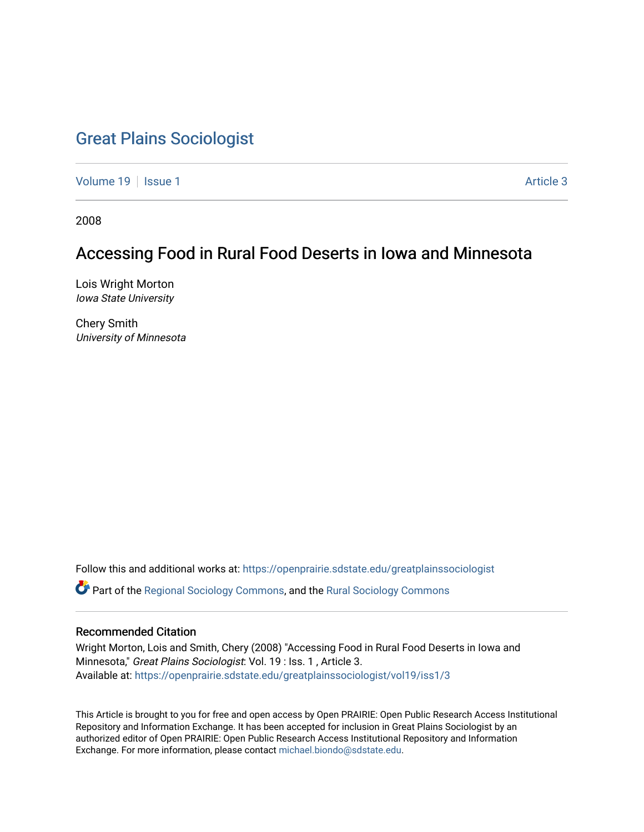# [Great Plains Sociologist](https://openprairie.sdstate.edu/greatplainssociologist)

[Volume 19](https://openprairie.sdstate.edu/greatplainssociologist/vol19) | [Issue 1](https://openprairie.sdstate.edu/greatplainssociologist/vol19/iss1) Article 3

2008

# Accessing Food in Rural Food Deserts in Iowa and Minnesota

Lois Wright Morton Iowa State University

Chery Smith University of Minnesota

Follow this and additional works at: [https://openprairie.sdstate.edu/greatplainssociologist](https://openprairie.sdstate.edu/greatplainssociologist?utm_source=openprairie.sdstate.edu%2Fgreatplainssociologist%2Fvol19%2Fiss1%2F3&utm_medium=PDF&utm_campaign=PDFCoverPages) 

Part of the [Regional Sociology Commons](http://network.bepress.com/hgg/discipline/427?utm_source=openprairie.sdstate.edu%2Fgreatplainssociologist%2Fvol19%2Fiss1%2F3&utm_medium=PDF&utm_campaign=PDFCoverPages), and the [Rural Sociology Commons](http://network.bepress.com/hgg/discipline/428?utm_source=openprairie.sdstate.edu%2Fgreatplainssociologist%2Fvol19%2Fiss1%2F3&utm_medium=PDF&utm_campaign=PDFCoverPages) 

#### Recommended Citation

Wright Morton, Lois and Smith, Chery (2008) "Accessing Food in Rural Food Deserts in Iowa and Minnesota," Great Plains Sociologist: Vol. 19 : Iss. 1 , Article 3. Available at: [https://openprairie.sdstate.edu/greatplainssociologist/vol19/iss1/3](https://openprairie.sdstate.edu/greatplainssociologist/vol19/iss1/3?utm_source=openprairie.sdstate.edu%2Fgreatplainssociologist%2Fvol19%2Fiss1%2F3&utm_medium=PDF&utm_campaign=PDFCoverPages)

This Article is brought to you for free and open access by Open PRAIRIE: Open Public Research Access Institutional Repository and Information Exchange. It has been accepted for inclusion in Great Plains Sociologist by an authorized editor of Open PRAIRIE: Open Public Research Access Institutional Repository and Information Exchange. For more information, please contact [michael.biondo@sdstate.edu.](mailto:michael.biondo@sdstate.edu)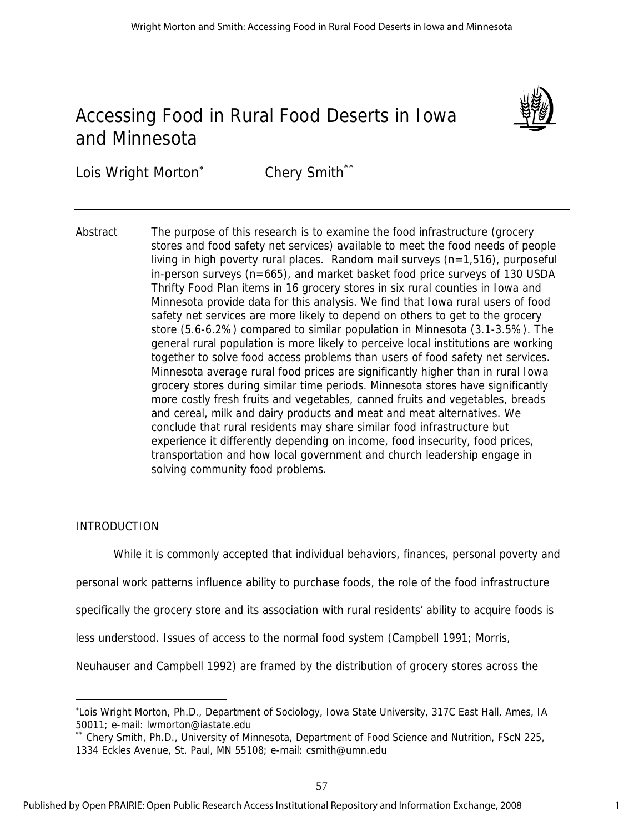# Accessing Food in Rural Food Deserts in Iowa and Minnesota



Lois Wright Morton<sup>®</sup> Chery Smith\*\*

Abstract The purpose of this research is to examine the food infrastructure (grocery stores and food safety net services) available to meet the food needs of people living in high poverty rural places. Random mail surveys (n=1,516), purposeful in-person surveys (n=665), and market basket food price surveys of 130 USDA Thrifty Food Plan items in 16 grocery stores in six rural counties in Iowa and Minnesota provide data for this analysis. We find that Iowa rural users of food safety net services are more likely to depend on others to get to the grocery store (5.6-6.2%) compared to similar population in Minnesota (3.1-3.5%). The general rural population is more likely to perceive local institutions are working together to solve food access problems than users of food safety net services. Minnesota average rural food prices are significantly higher than in rural Iowa grocery stores during similar time periods. Minnesota stores have significantly more costly fresh fruits and vegetables, canned fruits and vegetables, breads and cereal, milk and dairy products and meat and meat alternatives. We conclude that rural residents may share similar food infrastructure but experience it differently depending on income, food insecurity, food prices, transportation and how local government and church leadership engage in solving community food problems.

## INTRODUCTION

 $\overline{a}$ 

While it is commonly accepted that individual behaviors, finances, personal poverty and

personal work patterns influence ability to purchase foods, the role of the food infrastructure

specifically the grocery store and its association with rural residents' ability to acquire foods is

less understood. Issues of access to the normal food system (Campbell 1991; Morris,

Neuhauser and Campbell 1992) are framed by the distribution of grocery stores across the

<sup>∗</sup> Lois Wright Morton, Ph.D., Department of Sociology, Iowa State University, 317C East Hall, Ames, IA 50011; e-mail: lwmorton@iastate.edu

Chery Smith, Ph.D., University of Minnesota, Department of Food Science and Nutrition, FScN 225, 1334 Eckles Avenue, St. Paul, MN 55108; e-mail: csmith@umn.edu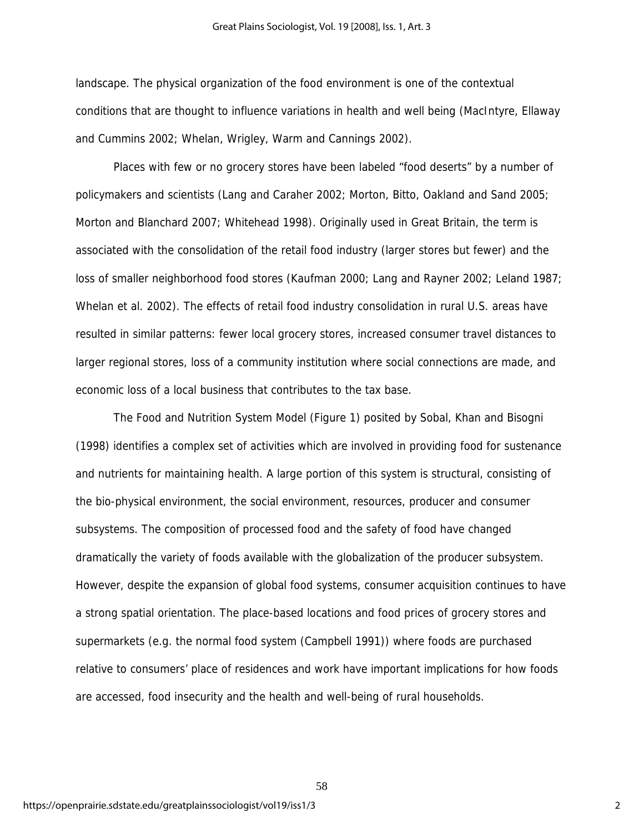landscape. The physical organization of the food environment is one of the contextual conditions that are thought to influence variations in health and well being (MacIntyre, Ellaway and Cummins 2002; Whelan, Wrigley, Warm and Cannings 2002).

Places with few or no grocery stores have been labeled "food deserts" by a number of policymakers and scientists (Lang and Caraher 2002; Morton, Bitto, Oakland and Sand 2005; Morton and Blanchard 2007; Whitehead 1998). Originally used in Great Britain, the term is associated with the consolidation of the retail food industry (larger stores but fewer) and the loss of smaller neighborhood food stores (Kaufman 2000; Lang and Rayner 2002; Leland 1987; Whelan et al. 2002). The effects of retail food industry consolidation in rural U.S. areas have resulted in similar patterns: fewer local grocery stores, increased consumer travel distances to larger regional stores, loss of a community institution where social connections are made, and economic loss of a local business that contributes to the tax base.

The Food and Nutrition System Model (Figure 1) posited by Sobal, Khan and Bisogni (1998) identifies a complex set of activities which are involved in providing food for sustenance and nutrients for maintaining health. A large portion of this system is structural, consisting of the bio-physical environment, the social environment, resources, producer and consumer subsystems. The composition of processed food and the safety of food have changed dramatically the variety of foods available with the globalization of the producer subsystem. However, despite the expansion of global food systems, consumer acquisition continues to have a strong spatial orientation. The place-based locations and food prices of grocery stores and supermarkets (e.g. the normal food system (Campbell 1991)) where foods are purchased relative to consumers' place of residences and work have important implications for how foods are accessed, food insecurity and the health and well-being of rural households.

58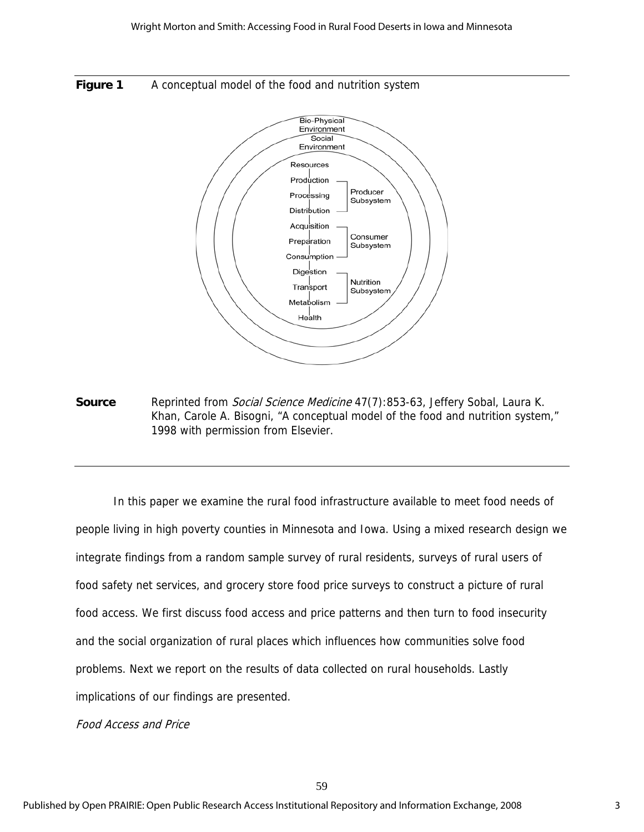



**Source** Reprinted from *Social Science Medicine* 47(7):853-63, Jeffery Sobal, Laura K. Khan, Carole A. Bisogni, "A conceptual model of the food and nutrition system," 1998 with permission from Elsevier.

In this paper we examine the rural food infrastructure available to meet food needs of people living in high poverty counties in Minnesota and Iowa. Using a mixed research design we integrate findings from a random sample survey of rural residents, surveys of rural users of food safety net services, and grocery store food price surveys to construct a picture of rural food access. We first discuss food access and price patterns and then turn to food insecurity and the social organization of rural places which influences how communities solve food problems. Next we report on the results of data collected on rural households. Lastly implications of our findings are presented.

Food Access and Price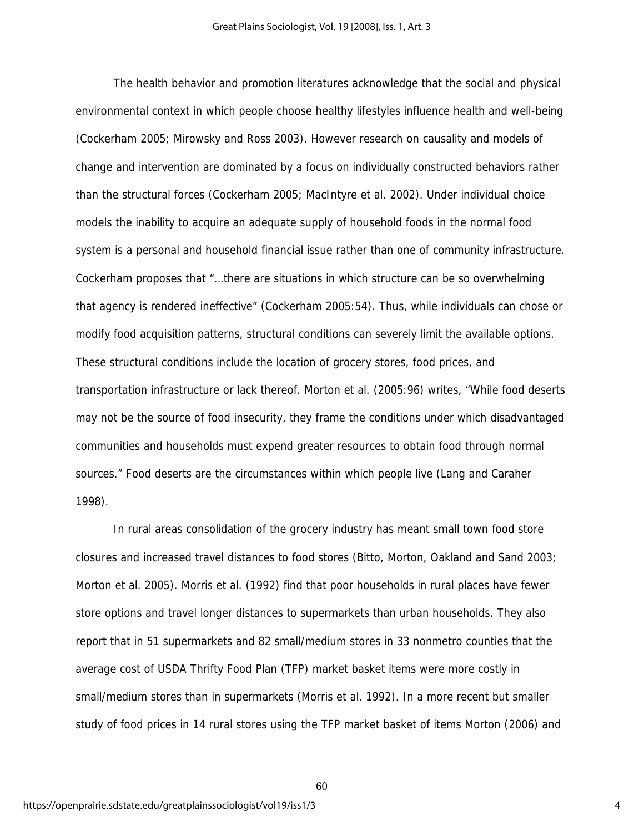The health behavior and promotion literatures acknowledge that the social and physical environmental context in which people choose healthy lifestyles influence health and well-being (Cockerham 2005; Mirowsky and Ross 2003). However research on causality and models of change and intervention are dominated by a focus on individually constructed behaviors rather than the structural forces (Cockerham 2005; MacIntyre et al. 2002). Under individual choice models the inability to acquire an adequate supply of household foods in the normal food system is a personal and household financial issue rather than one of community infrastructure. Cockerham proposes that "…there are situations in which structure can be so overwhelming that agency is rendered ineffective" (Cockerham 2005:54). Thus, while individuals can chose or modify food acquisition patterns, structural conditions can severely limit the available options. These structural conditions include the location of grocery stores, food prices, and transportation infrastructure or lack thereof. Morton et al. (2005:96) writes, "While food deserts may not be the source of food insecurity, they frame the conditions under which disadvantaged communities and households must expend greater resources to obtain food through normal sources." Food deserts are the circumstances within which people live (Lang and Caraher 1998).

In rural areas consolidation of the grocery industry has meant small town food store closures and increased travel distances to food stores (Bitto, Morton, Oakland and Sand 2003; Morton et al. 2005). Morris et al. (1992) find that poor households in rural places have fewer store options and travel longer distances to supermarkets than urban households. They also report that in 51 supermarkets and 82 small/medium stores in 33 nonmetro counties that the average cost of USDA Thrifty Food Plan (TFP) market basket items were more costly in small/medium stores than in supermarkets (Morris et al. 1992). In a more recent but smaller study of food prices in 14 rural stores using the TFP market basket of items Morton (2006) and

60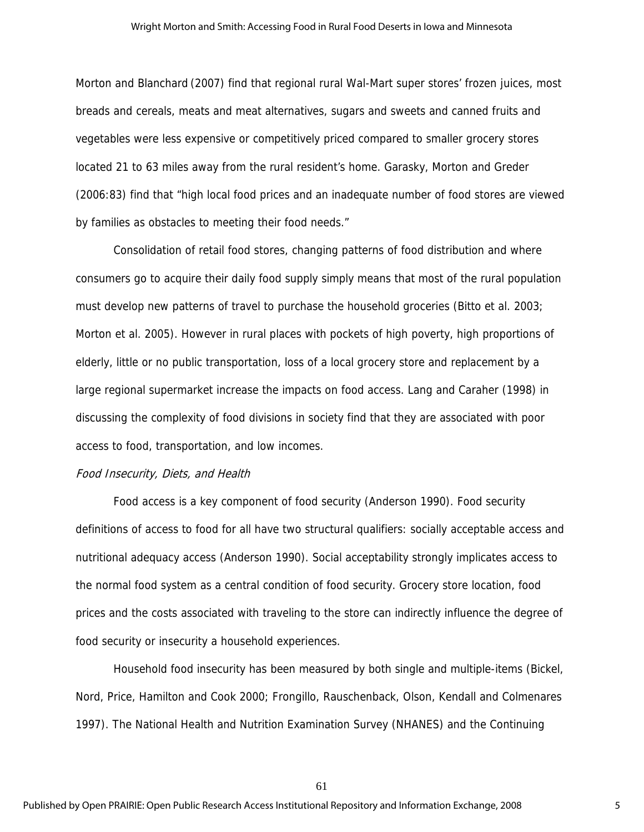Morton and Blanchard (2007) find that regional rural Wal-Mart super stores' frozen juices, most breads and cereals, meats and meat alternatives, sugars and sweets and canned fruits and vegetables were less expensive or competitively priced compared to smaller grocery stores located 21 to 63 miles away from the rural resident's home. Garasky, Morton and Greder (2006:83) find that "high local food prices and an inadequate number of food stores are viewed by families as obstacles to meeting their food needs."

 Consolidation of retail food stores, changing patterns of food distribution and where consumers go to acquire their daily food supply simply means that most of the rural population must develop new patterns of travel to purchase the household groceries (Bitto et al. 2003; Morton et al. 2005). However in rural places with pockets of high poverty, high proportions of elderly, little or no public transportation, loss of a local grocery store and replacement by a large regional supermarket increase the impacts on food access. Lang and Caraher (1998) in discussing the complexity of food divisions in society find that they are associated with poor access to food, transportation, and low incomes.

#### Food Insecurity, Diets, and Health

Food access is a key component of food security (Anderson 1990). Food security definitions of access to food for all have two structural qualifiers: socially acceptable access and nutritional adequacy access (Anderson 1990). Social acceptability strongly implicates access to the normal food system as a central condition of food security. Grocery store location, food prices and the costs associated with traveling to the store can indirectly influence the degree of food security or insecurity a household experiences.

 Household food insecurity has been measured by both single and multiple-items (Bickel, Nord, Price, Hamilton and Cook 2000; Frongillo, Rauschenback, Olson, Kendall and Colmenares 1997). The National Health and Nutrition Examination Survey (NHANES) and the Continuing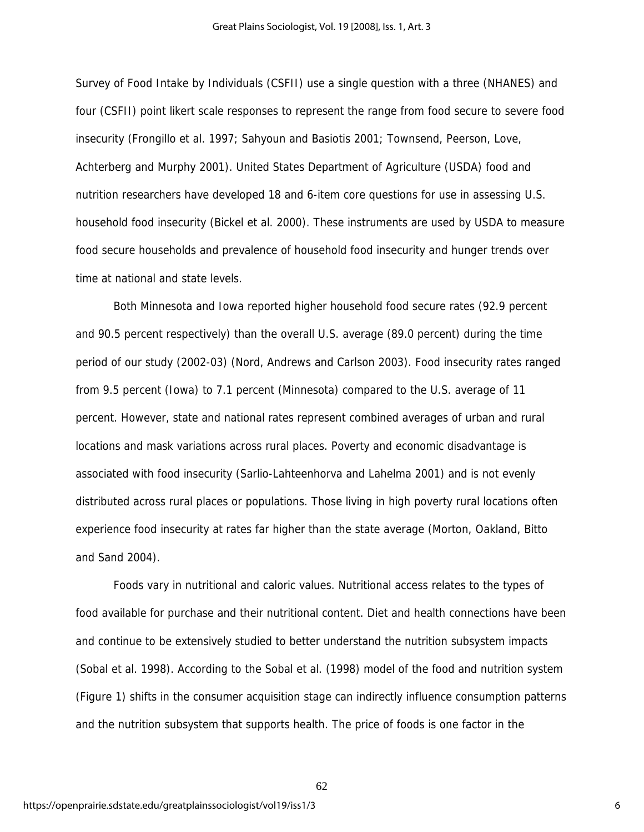Survey of Food Intake by Individuals (CSFII) use a single question with a three (NHANES) and four (CSFII) point likert scale responses to represent the range from food secure to severe food insecurity (Frongillo et al. 1997; Sahyoun and Basiotis 2001; Townsend, Peerson, Love, Achterberg and Murphy 2001). United States Department of Agriculture (USDA) food and nutrition researchers have developed 18 and 6-item core questions for use in assessing U.S. household food insecurity (Bickel et al. 2000). These instruments are used by USDA to measure food secure households and prevalence of household food insecurity and hunger trends over time at national and state levels.

 Both Minnesota and Iowa reported higher household food secure rates (92.9 percent and 90.5 percent respectively) than the overall U.S. average (89.0 percent) during the time period of our study (2002-03) (Nord, Andrews and Carlson 2003). Food insecurity rates ranged from 9.5 percent (Iowa) to 7.1 percent (Minnesota) compared to the U.S. average of 11 percent. However, state and national rates represent combined averages of urban and rural locations and mask variations across rural places. Poverty and economic disadvantage is associated with food insecurity (Sarlio-Lahteenhorva and Lahelma 2001) and is not evenly distributed across rural places or populations. Those living in high poverty rural locations often experience food insecurity at rates far higher than the state average (Morton, Oakland, Bitto and Sand 2004).

 Foods vary in nutritional and caloric values. Nutritional access relates to the types of food available for purchase and their nutritional content. Diet and health connections have been and continue to be extensively studied to better understand the nutrition subsystem impacts (Sobal et al. 1998). According to the Sobal et al. (1998) model of the food and nutrition system (Figure 1) shifts in the consumer acquisition stage can indirectly influence consumption patterns and the nutrition subsystem that supports health. The price of foods is one factor in the

62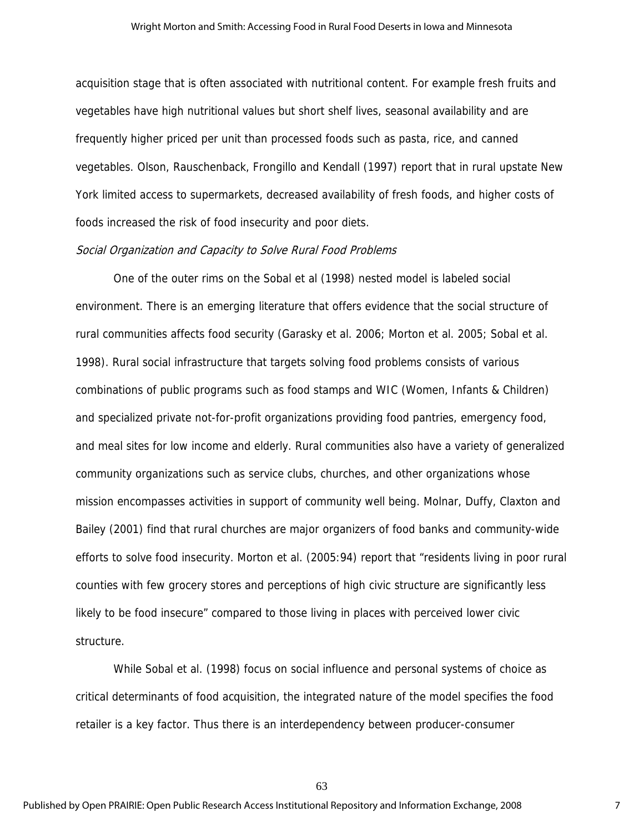acquisition stage that is often associated with nutritional content. For example fresh fruits and vegetables have high nutritional values but short shelf lives, seasonal availability and are frequently higher priced per unit than processed foods such as pasta, rice, and canned vegetables. Olson, Rauschenback, Frongillo and Kendall (1997) report that in rural upstate New York limited access to supermarkets, decreased availability of fresh foods, and higher costs of foods increased the risk of food insecurity and poor diets.

#### Social Organization and Capacity to Solve Rural Food Problems

One of the outer rims on the Sobal et al (1998) nested model is labeled social environment. There is an emerging literature that offers evidence that the social structure of rural communities affects food security (Garasky et al. 2006; Morton et al. 2005; Sobal et al. 1998). Rural social infrastructure that targets solving food problems consists of various combinations of public programs such as food stamps and WIC (Women, Infants & Children) and specialized private not-for-profit organizations providing food pantries, emergency food, and meal sites for low income and elderly. Rural communities also have a variety of generalized community organizations such as service clubs, churches, and other organizations whose mission encompasses activities in support of community well being. Molnar, Duffy, Claxton and Bailey (2001) find that rural churches are major organizers of food banks and community-wide efforts to solve food insecurity. Morton et al. (2005:94) report that "residents living in poor rural counties with few grocery stores and perceptions of high civic structure are significantly less likely to be food insecure" compared to those living in places with perceived lower civic structure.

 While Sobal et al. (1998) focus on social influence and personal systems of choice as critical determinants of food acquisition, the integrated nature of the model specifies the food retailer is a key factor. Thus there is an interdependency between producer-consumer

63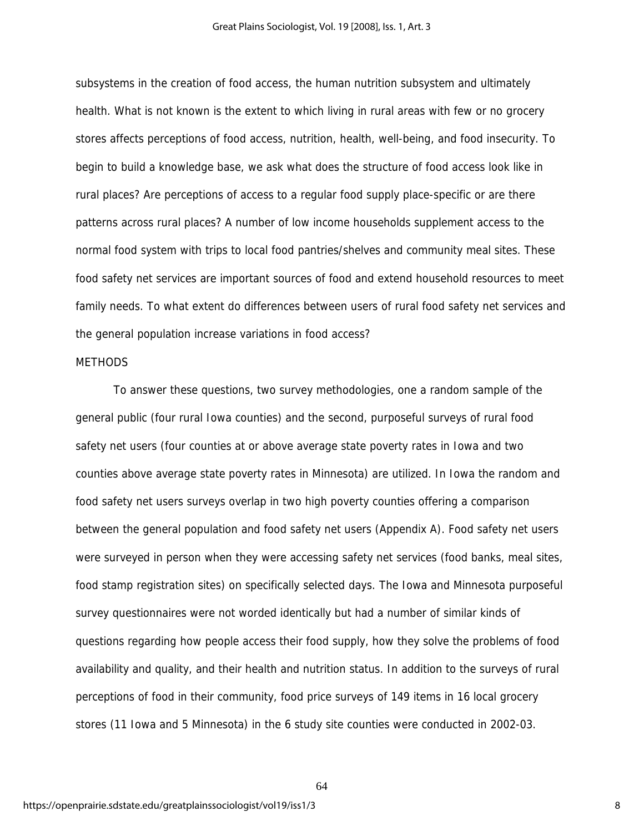subsystems in the creation of food access, the human nutrition subsystem and ultimately health. What is not known is the extent to which living in rural areas with few or no grocery stores affects perceptions of food access, nutrition, health, well-being, and food insecurity. To begin to build a knowledge base, we ask what does the structure of food access look like in rural places? Are perceptions of access to a regular food supply place-specific or are there patterns across rural places? A number of low income households supplement access to the normal food system with trips to local food pantries/shelves and community meal sites. These food safety net services are important sources of food and extend household resources to meet family needs. To what extent do differences between users of rural food safety net services and the general population increase variations in food access?

#### **METHODS**

To answer these questions, two survey methodologies, one a random sample of the general public (four rural Iowa counties) and the second, purposeful surveys of rural food safety net users (four counties at or above average state poverty rates in Iowa and two counties above average state poverty rates in Minnesota) are utilized. In Iowa the random and food safety net users surveys overlap in two high poverty counties offering a comparison between the general population and food safety net users (Appendix A). Food safety net users were surveyed in person when they were accessing safety net services (food banks, meal sites, food stamp registration sites) on specifically selected days. The Iowa and Minnesota purposeful survey questionnaires were not worded identically but had a number of similar kinds of questions regarding how people access their food supply, how they solve the problems of food availability and quality, and their health and nutrition status. In addition to the surveys of rural perceptions of food in their community, food price surveys of 149 items in 16 local grocery stores (11 Iowa and 5 Minnesota) in the 6 study site counties were conducted in 2002-03.

64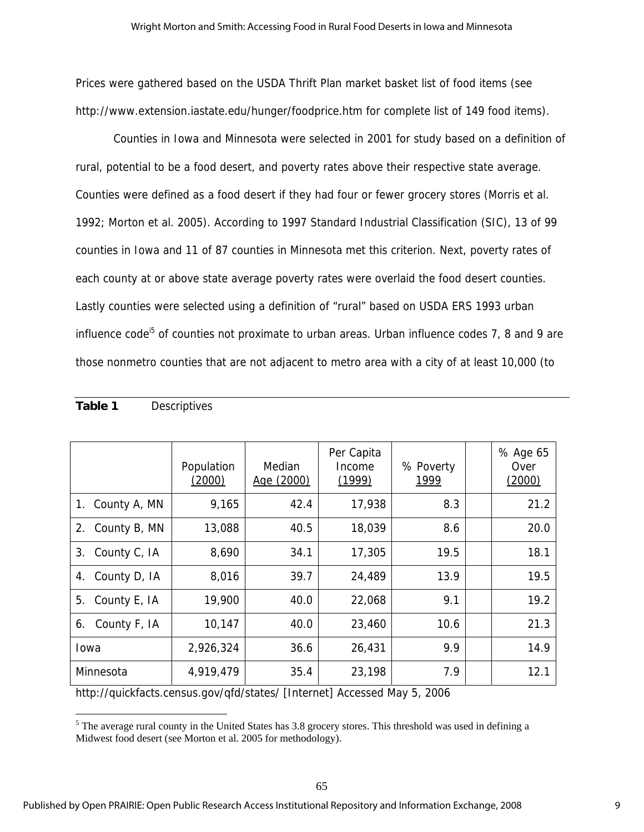Prices were gathered based on the USDA Thrift Plan market basket list of food items (see http://www.extension.iastate.edu/hunger/foodprice.htm for complete list of 149 food items).

 Counties in Iowa and Minnesota were selected in 2001 for study based on a definition of rural, potential to be a food desert, and poverty rates above their respective state average. Counties were defined as a food desert if they had four or fewer grocery stores (Morris et al. 1992; Morton et al. 2005). According to 1997 Standard Industrial Classification (SIC), 13 of 99 counties in Iowa and 11 of 87 counties in Minnesota met this criterion. Next, poverty rates of each county at or above state average poverty rates were overlaid the food desert counties. Lastly counties were selected using a definition of "rural" based on USDA ERS 1993 urban influence code<sup>15</sup> of counties not proximate to urban areas. Urban influence codes 7, 8 and 9 are those nonmetro counties that are not adjacent to metro area with a city of at least 10,000 (to

|                    | Population<br>(2000) | Median<br>Age (2000) | Per Capita<br>Income<br>(1999) | % Poverty<br>1999 | % Age 65<br>Over<br>(2000) |
|--------------------|----------------------|----------------------|--------------------------------|-------------------|----------------------------|
| 1. County A, MN    | 9,165                | 42.4                 | 17,938                         | 8.3               | 21.2                       |
| 2. County B, MN    | 13,088               | 40.5                 | 18,039                         | 8.6               | 20.0                       |
| 3. County C, IA    | 8,690                | 34.1                 | 17,305                         | 19.5              | 18.1                       |
| County D, IA<br>4. | 8,016                | 39.7                 | 24,489                         | 13.9              | 19.5                       |
| 5. County E, IA    | 19,900               | 40.0                 | 22,068                         | 9.1               | 19.2                       |
| 6. County F, IA    | 10,147               | 40.0                 | 23,460                         | 10.6              | 21.3                       |
| Iowa               | 2,926,324            | 36.6                 | 26,431                         | 9.9               | 14.9                       |
| Minnesota          | 4,919,479            | 35.4                 | 23,198                         | 7.9               | 12.1                       |

## **Table 1** Descriptives

 $\overline{a}$ 

http://quickfacts.census.gov/qfd/states/ [Internet] Accessed May 5, 2006

 $<sup>5</sup>$  The average rural county in the United States has 3.8 grocery stores. This threshold was used in defining a</sup> Midwest food desert (see Morton et al. 2005 for methodology).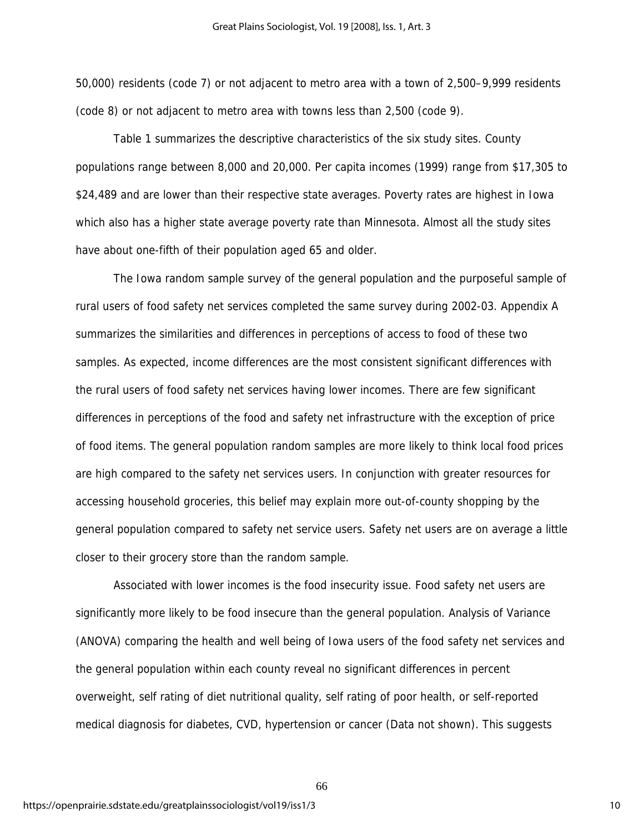50,000) residents (code 7) or not adjacent to metro area with a town of 2,500–9,999 residents (code 8) or not adjacent to metro area with towns less than 2,500 (code 9).

Table 1 summarizes the descriptive characteristics of the six study sites. County populations range between 8,000 and 20,000. Per capita incomes (1999) range from \$17,305 to \$24,489 and are lower than their respective state averages. Poverty rates are highest in Iowa which also has a higher state average poverty rate than Minnesota. Almost all the study sites have about one-fifth of their population aged 65 and older.

The Iowa random sample survey of the general population and the purposeful sample of rural users of food safety net services completed the same survey during 2002-03. Appendix A summarizes the similarities and differences in perceptions of access to food of these two samples. As expected, income differences are the most consistent significant differences with the rural users of food safety net services having lower incomes. There are few significant differences in perceptions of the food and safety net infrastructure with the exception of price of food items. The general population random samples are more likely to think local food prices are high compared to the safety net services users. In conjunction with greater resources for accessing household groceries, this belief may explain more out-of-county shopping by the general population compared to safety net service users. Safety net users are on average a little closer to their grocery store than the random sample.

Associated with lower incomes is the food insecurity issue. Food safety net users are significantly more likely to be food insecure than the general population. Analysis of Variance (ANOVA) comparing the health and well being of Iowa users of the food safety net services and the general population within each county reveal no significant differences in percent overweight, self rating of diet nutritional quality, self rating of poor health, or self-reported medical diagnosis for diabetes, CVD, hypertension or cancer (Data not shown). This suggests

66

https://openprairie.sdstate.edu/greatplainssociologist/vol19/iss1/3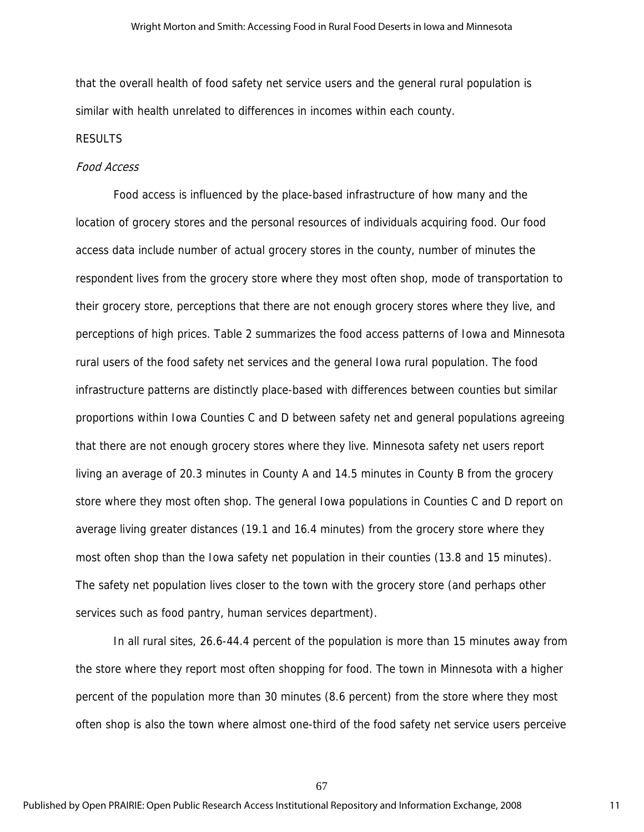that the overall health of food safety net service users and the general rural population is similar with health unrelated to differences in incomes within each county.

#### RESULTS

#### Food Access

Food access is influenced by the place-based infrastructure of how many and the location of grocery stores and the personal resources of individuals acquiring food. Our food access data include number of actual grocery stores in the county, number of minutes the respondent lives from the grocery store where they most often shop, mode of transportation to their grocery store, perceptions that there are not enough grocery stores where they live, and perceptions of high prices. Table 2 summarizes the food access patterns of Iowa and Minnesota rural users of the food safety net services and the general Iowa rural population. The food infrastructure patterns are distinctly place-based with differences between counties but similar proportions within Iowa Counties C and D between safety net and general populations agreeing that there are not enough grocery stores where they live. Minnesota safety net users report living an average of 20.3 minutes in County A and 14.5 minutes in County B from the grocery store where they most often shop. The general Iowa populations in Counties C and D report on average living greater distances (19.1 and 16.4 minutes) from the grocery store where they most often shop than the Iowa safety net population in their counties (13.8 and 15 minutes). The safety net population lives closer to the town with the grocery store (and perhaps other services such as food pantry, human services department).

In all rural sites, 26.6-44.4 percent of the population is more than 15 minutes away from the store where they report most often shopping for food. The town in Minnesota with a higher percent of the population more than 30 minutes (8.6 percent) from the store where they most often shop is also the town where almost one-third of the food safety net service users perceive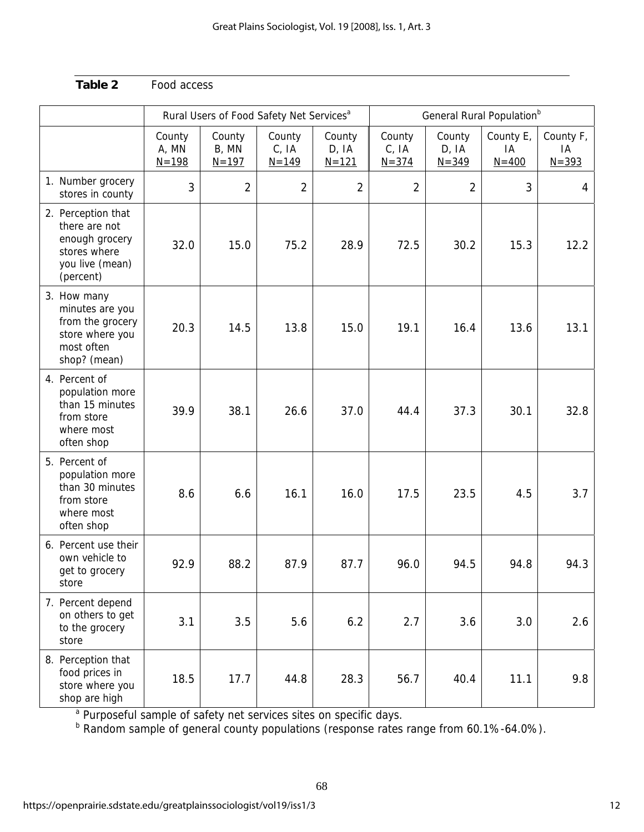|                                                                                                       |                              |                              |                              | General Rural Population <sup>b</sup><br>Rural Users of Food Safety Net Services <sup>a</sup> |                              |                              |                              |                              |  |
|-------------------------------------------------------------------------------------------------------|------------------------------|------------------------------|------------------------------|-----------------------------------------------------------------------------------------------|------------------------------|------------------------------|------------------------------|------------------------------|--|
|                                                                                                       | County<br>A, MN<br>$N = 198$ | County<br>B, MN<br>$N = 197$ | County<br>C, IA<br>$N = 149$ | County<br>D, IA<br>$N = 121$                                                                  | County<br>C, IA<br>$N = 374$ | County<br>D, IA<br>$N = 349$ | County E,<br>IA<br>$N = 400$ | County F,<br>IA<br>$N = 393$ |  |
| 1. Number grocery<br>stores in county                                                                 | 3                            | $\overline{2}$               | $\overline{2}$               | $\overline{2}$                                                                                | $\overline{2}$               | $\overline{2}$               | 3                            | 4                            |  |
| 2. Perception that<br>there are not<br>enough grocery<br>stores where<br>you live (mean)<br>(percent) | 32.0                         | 15.0                         | 75.2                         | 28.9                                                                                          | 72.5                         | 30.2                         | 15.3                         | 12.2                         |  |
| 3. How many<br>minutes are you<br>from the grocery<br>store where you<br>most often<br>shop? (mean)   | 20.3                         | 14.5                         | 13.8                         | 15.0                                                                                          | 19.1                         | 16.4                         | 13.6                         | 13.1                         |  |
| 4. Percent of<br>population more<br>than 15 minutes<br>from store<br>where most<br>often shop         | 39.9                         | 38.1                         | 26.6                         | 37.0                                                                                          | 44.4                         | 37.3                         | 30.1                         | 32.8                         |  |
| 5. Percent of<br>population more<br>than 30 minutes<br>from store<br>where most<br>often shop         | 8.6                          | 6.6                          | 16.1                         | 16.0                                                                                          | 17.5                         | 23.5                         | 4.5                          | 3.7                          |  |
| 6. Percent use their<br>own vehicle to<br>get to grocery<br>store                                     | 92.9                         | 88.2                         | 87.9                         | 87.7                                                                                          | 96.0                         | 94.5                         | 94.8                         | 94.3                         |  |
| 7. Percent depend<br>on others to get<br>to the grocery<br>store                                      | 3.1                          | 3.5                          | 5.6                          | 6.2                                                                                           | 2.7                          | 3.6                          | 3.0                          | 2.6                          |  |
| 8. Perception that<br>food prices in<br>store where you<br>shop are high                              | 18.5                         | 17.7                         | 44.8                         | 28.3                                                                                          | 56.7                         | 40.4                         | 11.1                         | 9.8                          |  |

<sup>a</sup> Purposeful sample of safety net services sites on specific days.<br><sup>b</sup> Random sample of general county populations (response rates range from 60.1%-64.0%).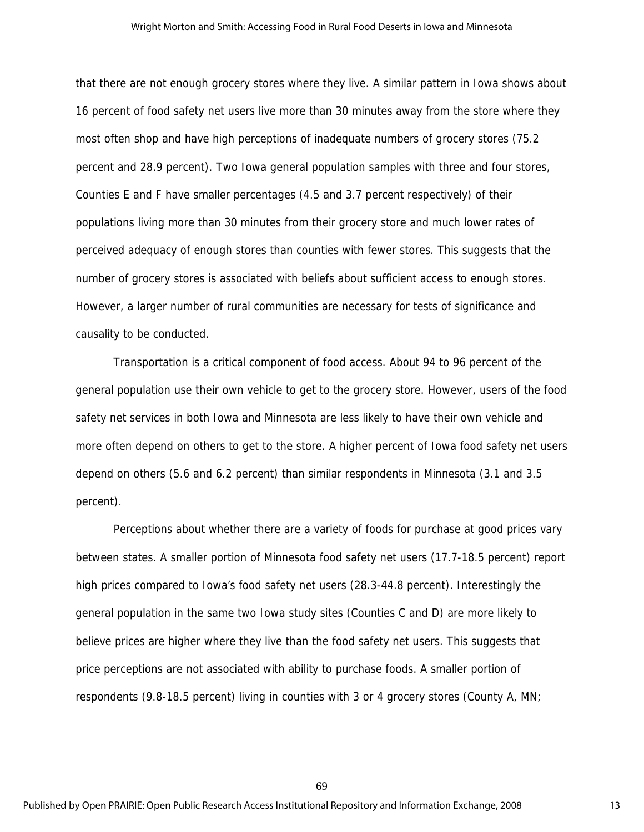#### Wright Morton and Smith: Accessing Food in Rural Food Deserts in Iowa and Minnesota

that there are not enough grocery stores where they live. A similar pattern in Iowa shows about 16 percent of food safety net users live more than 30 minutes away from the store where they most often shop and have high perceptions of inadequate numbers of grocery stores (75.2 percent and 28.9 percent). Two Iowa general population samples with three and four stores, Counties E and F have smaller percentages (4.5 and 3.7 percent respectively) of their populations living more than 30 minutes from their grocery store and much lower rates of perceived adequacy of enough stores than counties with fewer stores. This suggests that the number of grocery stores is associated with beliefs about sufficient access to enough stores. However, a larger number of rural communities are necessary for tests of significance and causality to be conducted.

Transportation is a critical component of food access. About 94 to 96 percent of the general population use their own vehicle to get to the grocery store. However, users of the food safety net services in both Iowa and Minnesota are less likely to have their own vehicle and more often depend on others to get to the store. A higher percent of Iowa food safety net users depend on others (5.6 and 6.2 percent) than similar respondents in Minnesota (3.1 and 3.5 percent).

 Perceptions about whether there are a variety of foods for purchase at good prices vary between states. A smaller portion of Minnesota food safety net users (17.7-18.5 percent) report high prices compared to Iowa's food safety net users (28.3-44.8 percent). Interestingly the general population in the same two Iowa study sites (Counties C and D) are more likely to believe prices are higher where they live than the food safety net users. This suggests that price perceptions are not associated with ability to purchase foods. A smaller portion of respondents (9.8-18.5 percent) living in counties with 3 or 4 grocery stores (County A, MN;

69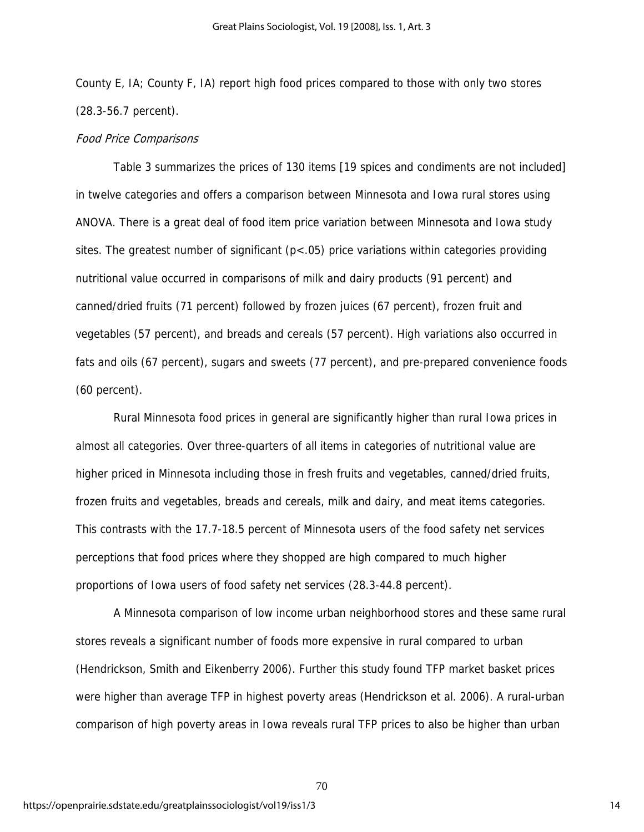County E, IA; County F, IA) report high food prices compared to those with only two stores (28.3-56.7 percent).

#### Food Price Comparisons

Table 3 summarizes the prices of 130 items [19 spices and condiments are not included] in twelve categories and offers a comparison between Minnesota and Iowa rural stores using ANOVA. There is a great deal of food item price variation between Minnesota and Iowa study sites. The greatest number of significant  $(p<0.05)$  price variations within categories providing nutritional value occurred in comparisons of milk and dairy products (91 percent) and canned/dried fruits (71 percent) followed by frozen juices (67 percent), frozen fruit and vegetables (57 percent), and breads and cereals (57 percent). High variations also occurred in fats and oils (67 percent), sugars and sweets (77 percent), and pre-prepared convenience foods (60 percent).

Rural Minnesota food prices in general are significantly higher than rural Iowa prices in almost all categories. Over three-quarters of all items in categories of nutritional value are higher priced in Minnesota including those in fresh fruits and vegetables, canned/dried fruits, frozen fruits and vegetables, breads and cereals, milk and dairy, and meat items categories. This contrasts with the 17.7-18.5 percent of Minnesota users of the food safety net services perceptions that food prices where they shopped are high compared to much higher proportions of Iowa users of food safety net services (28.3-44.8 percent).

A Minnesota comparison of low income urban neighborhood stores and these same rural stores reveals a significant number of foods more expensive in rural compared to urban (Hendrickson, Smith and Eikenberry 2006). Further this study found TFP market basket prices were higher than average TFP in highest poverty areas (Hendrickson et al. 2006). A rural-urban comparison of high poverty areas in Iowa reveals rural TFP prices to also be higher than urban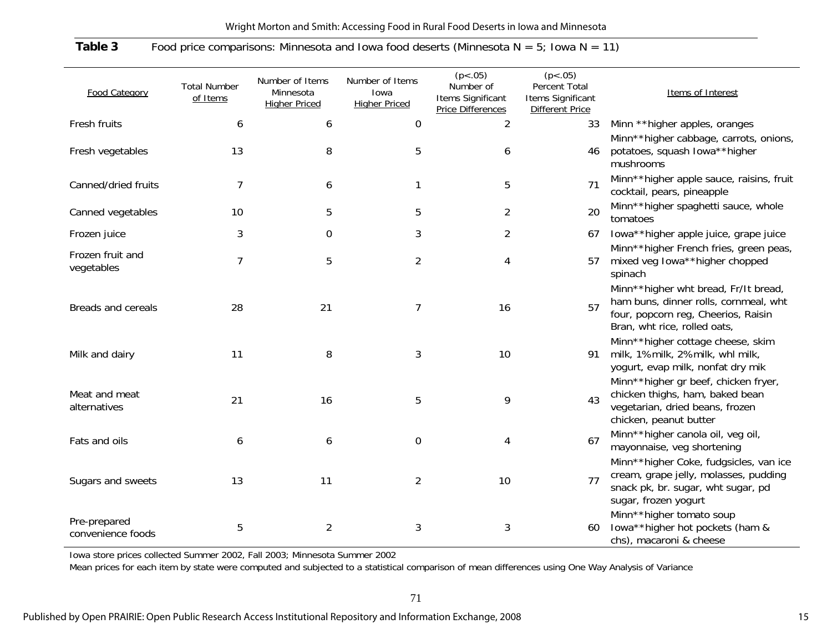| Wright Morton and Smith: Accessing Food in Rural Food Deserts in Iowa and Minnesota |  |  |
|-------------------------------------------------------------------------------------|--|--|
|                                                                                     |  |  |

## **Table 3** Food price comparisons: Minnesota and Iowa food deserts (Minnesota N = 5; Iowa N = 11)

|                                   |                                 |                                                      |                                                 | (p < .05)                                           | (p < .05)                                                    |                                                                                                                                                      |
|-----------------------------------|---------------------------------|------------------------------------------------------|-------------------------------------------------|-----------------------------------------------------|--------------------------------------------------------------|------------------------------------------------------------------------------------------------------------------------------------------------------|
| <b>Food Category</b>              | <b>Total Number</b><br>of Items | Number of Items<br>Minnesota<br><b>Higher Priced</b> | Number of Items<br>Iowa<br><b>Higher Priced</b> | Number of<br>Items Significant<br>Price Differences | Percent Total<br>Items Significant<br><b>Different Price</b> | Items of Interest                                                                                                                                    |
| Fresh fruits                      | 6                               | 6                                                    | 0                                               | $\overline{2}$                                      | 33                                                           | Minn ** higher apples, oranges                                                                                                                       |
| Fresh vegetables                  | 13                              | 8                                                    | 5                                               | 6                                                   | 46                                                           | Minn**higher cabbage, carrots, onions,<br>potatoes, squash lowa**higher<br>mushrooms                                                                 |
| Canned/dried fruits               | $\overline{7}$                  | 6                                                    |                                                 | 5                                                   | 71                                                           | Minn**higher apple sauce, raisins, fruit<br>cocktail, pears, pineapple                                                                               |
| Canned vegetables                 | 10                              | 5                                                    | 5                                               | $\overline{2}$                                      | 20                                                           | Minn**higher spaghetti sauce, whole<br>tomatoes                                                                                                      |
| Frozen juice                      | 3                               | 0                                                    | 3                                               | $\overline{2}$                                      | 67                                                           | lowa**higher apple juice, grape juice                                                                                                                |
| Frozen fruit and<br>vegetables    | $\overline{7}$                  | 5                                                    | $\overline{2}$                                  | 4                                                   | 57                                                           | Minn**higher French fries, green peas,<br>mixed veg lowa**higher chopped<br>spinach                                                                  |
| <b>Breads and cereals</b>         | 28                              | 21                                                   | 7                                               | 16                                                  | 57                                                           | Minn**higher wht bread, Fr/It bread,<br>ham buns, dinner rolls, cornmeal, wht<br>four, popcorn reg, Cheerios, Raisin<br>Bran, wht rice, rolled oats, |
| Milk and dairy                    | 11                              | 8                                                    | 3                                               | 10                                                  | 91                                                           | Minn**higher cottage cheese, skim<br>milk, 1%milk, 2%milk, whl milk,<br>yogurt, evap milk, nonfat dry mik                                            |
| Meat and meat<br>alternatives     | 21                              | 16                                                   | 5                                               | 9                                                   | 43                                                           | Minn**higher gr beef, chicken fryer,<br>chicken thighs, ham, baked bean<br>vegetarian, dried beans, frozen<br>chicken, peanut butter                 |
| Fats and oils                     | 6                               | 6                                                    | 0                                               | 4                                                   | 67                                                           | Minn**higher canola oil, veg oil,<br>mayonnaise, veg shortening                                                                                      |
| Sugars and sweets                 | 13                              | 11                                                   | $\overline{2}$                                  | 10                                                  | 77                                                           | Minn**higher Coke, fudgsicles, van ice<br>cream, grape jelly, molasses, pudding<br>snack pk, br. sugar, wht sugar, pd<br>sugar, frozen yogurt        |
| Pre-prepared<br>convenience foods | 5                               | $\overline{2}$                                       | 3                                               | 3                                                   | 60                                                           | Minn**higher tomato soup<br>lowa**higher hot pockets (ham &<br>chs), macaroni & cheese                                                               |

Iowa store prices collected Summer 2002, Fall 2003; Minnesota Summer 2002

Mean prices for each item by state were computed and subjected to a statistical comparison of mean differences using One Way Analysis of Variance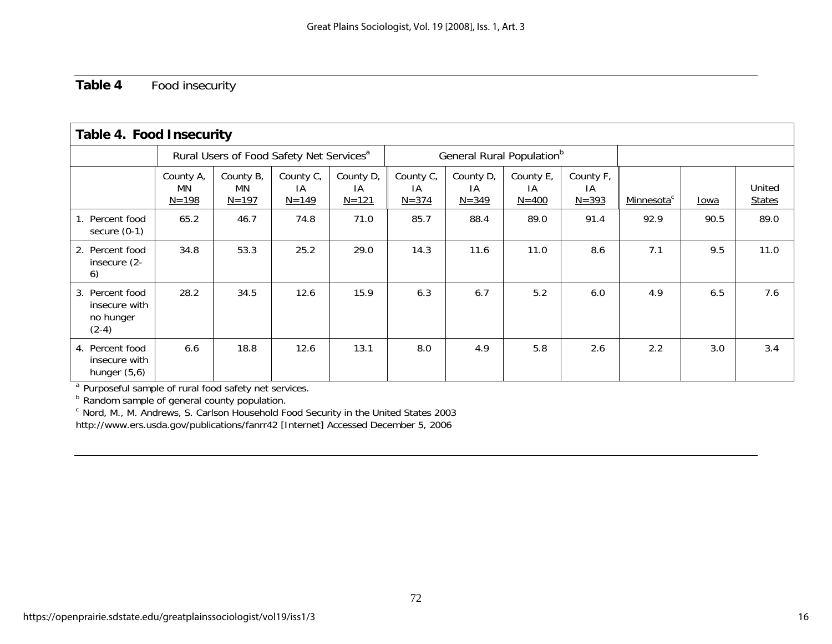## **Table 4** Food insecurity

| <b>Table 4. Food Insecurity</b>                          |                                                      |                              |                              |                              |                                       |                              |                              |                              |                        |      |                         |
|----------------------------------------------------------|------------------------------------------------------|------------------------------|------------------------------|------------------------------|---------------------------------------|------------------------------|------------------------------|------------------------------|------------------------|------|-------------------------|
|                                                          | Rural Users of Food Safety Net Services <sup>a</sup> |                              |                              |                              | General Rural Population <sup>b</sup> |                              |                              |                              |                        |      |                         |
|                                                          | County A,<br>MN<br>$N = 198$                         | County B,<br>MN<br>$N = 197$ | County C,<br>ΙA<br>$N = 149$ | County D,<br>IA<br>$N = 121$ | County C,<br>IA<br>$N = 374$          | County D,<br>IA<br>$N = 349$ | County E,<br>IA<br>$N = 400$ | County F,<br>IA<br>$N = 393$ | Minnesota <sup>c</sup> | Iowa | United<br><b>States</b> |
| 1. Percent food<br>secure $(0-1)$                        | 65.2                                                 | 46.7                         | 74.8                         | 71.0                         | 85.7                                  | 88.4                         | 89.0                         | 91.4                         | 92.9                   | 90.5 | 89.0                    |
| 2. Percent food<br>insecure (2-<br>6)                    | 34.8                                                 | 53.3                         | 25.2                         | 29.0                         | 14.3                                  | 11.6                         | 11.0                         | 8.6                          | 7.1                    | 9.5  | 11.0                    |
| 3. Percent food<br>insecure with<br>no hunger<br>$(2-4)$ | 28.2                                                 | 34.5                         | 12.6                         | 15.9                         | 6.3                                   | 6.7                          | 5.2                          | 6.0                          | 4.9                    | 6.5  | 7.6                     |
| 4. Percent food<br>insecure with<br>hunger $(5,6)$       | 6.6                                                  | 18.8                         | 12.6                         | 13.1                         | 8.0                                   | 4.9                          | 5.8                          | 2.6                          | 2.2                    | 3.0  | 3.4                     |

72

<sup>a</sup> Purposeful sample of rural food safety net services.<br><sup>b</sup> Random sample of general county population.

 $\textdegree$  Nord, M., M. Andrews, S. Carlson Household Food Security in the United States 2003 http://www.ers.usda.gov/publications/fanrr42 [Internet] Accessed December 5, 2006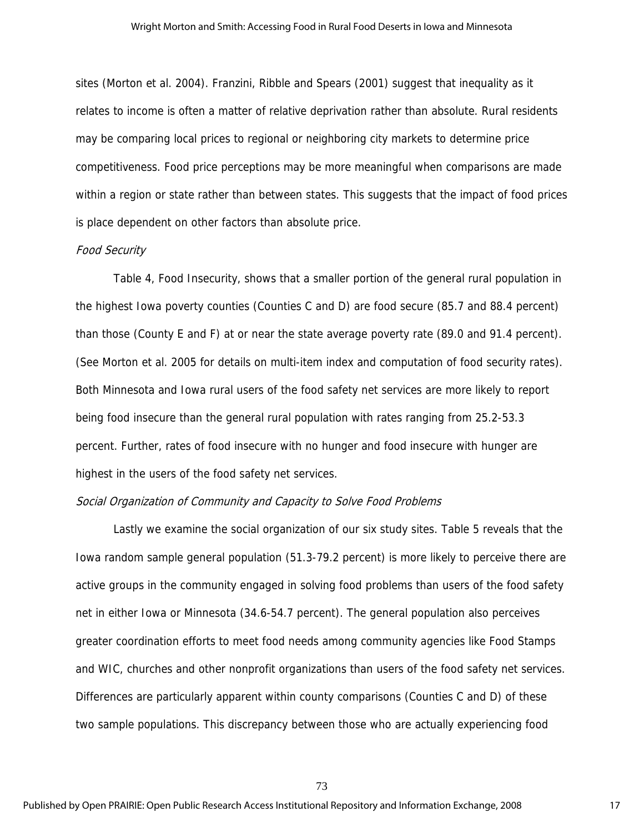sites (Morton et al. 2004). Franzini, Ribble and Spears (2001) suggest that inequality as it relates to income is often a matter of relative deprivation rather than absolute. Rural residents may be comparing local prices to regional or neighboring city markets to determine price competitiveness. Food price perceptions may be more meaningful when comparisons are made within a region or state rather than between states. This suggests that the impact of food prices is place dependent on other factors than absolute price.

#### Food Security

Table 4, Food Insecurity, shows that a smaller portion of the general rural population in the highest Iowa poverty counties (Counties C and D) are food secure (85.7 and 88.4 percent) than those (County E and F) at or near the state average poverty rate (89.0 and 91.4 percent). (See Morton et al. 2005 for details on multi-item index and computation of food security rates). Both Minnesota and Iowa rural users of the food safety net services are more likely to report being food insecure than the general rural population with rates ranging from 25.2-53.3 percent. Further, rates of food insecure with no hunger and food insecure with hunger are highest in the users of the food safety net services.

#### Social Organization of Community and Capacity to Solve Food Problems

Lastly we examine the social organization of our six study sites. Table 5 reveals that the Iowa random sample general population (51.3-79.2 percent) is more likely to perceive there are active groups in the community engaged in solving food problems than users of the food safety net in either Iowa or Minnesota (34.6-54.7 percent). The general population also perceives greater coordination efforts to meet food needs among community agencies like Food Stamps and WIC, churches and other nonprofit organizations than users of the food safety net services. Differences are particularly apparent within county comparisons (Counties C and D) of these two sample populations. This discrepancy between those who are actually experiencing food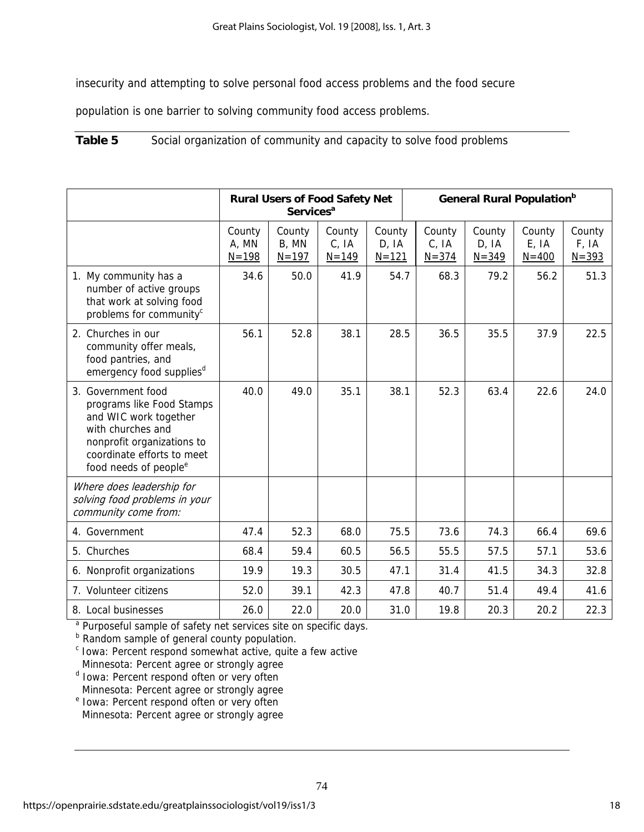insecurity and attempting to solve personal food access problems and the food secure

population is one barrier to solving community food access problems.

**Table 5** Social organization of community and capacity to solve food problems

|                                                                                                                                                                                                |                              | <b>Services<sup>a</sup></b>  |                              | <b>General Rural Population</b> b<br><b>Rural Users of Food Safety Net</b> |                              |                              |                              |                              |
|------------------------------------------------------------------------------------------------------------------------------------------------------------------------------------------------|------------------------------|------------------------------|------------------------------|----------------------------------------------------------------------------|------------------------------|------------------------------|------------------------------|------------------------------|
|                                                                                                                                                                                                | County<br>A, MN<br>$N = 198$ | County<br>B, MN<br>$N = 197$ | County<br>C, IA<br>$N = 149$ | County<br>D, IA<br>$N = 121$                                               | County<br>C, IA<br>$N = 374$ | County<br>D, IA<br>$N = 349$ | County<br>E, IA<br>$N = 400$ | County<br>F, IA<br>$N = 393$ |
| 1. My community has a<br>number of active groups<br>that work at solving food<br>problems for community <sup>c</sup>                                                                           | 34.6                         | 50.0                         | 41.9                         | 54.7                                                                       | 68.3                         | 79.2                         | 56.2                         | 51.3                         |
| 2. Churches in our<br>community offer meals,<br>food pantries, and<br>emergency food supplies <sup>d</sup>                                                                                     | 56.1                         | 52.8                         | 38.1                         | 28.5                                                                       | 36.5                         | 35.5                         | 37.9                         | 22.5                         |
| 3. Government food<br>programs like Food Stamps<br>and WIC work together<br>with churches and<br>nonprofit organizations to<br>coordinate efforts to meet<br>food needs of people <sup>e</sup> | 40.0                         | 49.0                         | 35.1                         | 38.1                                                                       | 52.3                         | 63.4                         | 22.6                         | 24.0                         |
| Where does leadership for<br>solving food problems in your<br>community come from:                                                                                                             |                              |                              |                              |                                                                            |                              |                              |                              |                              |
| 4. Government                                                                                                                                                                                  | 47.4                         | 52.3                         | 68.0                         | 75.5                                                                       | 73.6                         | 74.3                         | 66.4                         | 69.6                         |
| 5. Churches                                                                                                                                                                                    | 68.4                         | 59.4                         | 60.5                         | 56.5                                                                       | 55.5                         | 57.5                         | 57.1                         | 53.6                         |
| 6. Nonprofit organizations                                                                                                                                                                     | 19.9                         | 19.3                         | 30.5                         | 47.1                                                                       | 31.4                         | 41.5                         | 34.3                         | 32.8                         |
| 7. Volunteer citizens                                                                                                                                                                          | 52.0                         | 39.1                         | 42.3                         | 47.8                                                                       | 40.7                         | 51.4                         | 49.4                         | 41.6                         |
| 8. Local businesses                                                                                                                                                                            | 26.0                         | 22.0                         | 20.0                         | 31.0                                                                       | 19.8                         | 20.3                         | 20.2                         | 22.3                         |

<sup>a</sup> Purposeful sample of safety net services site on specific days.<br><sup>b</sup> Random sample of general county population.

<sup>c</sup> Iowa: Percent respond somewhat active, quite a few active Minnesota: Percent agree or strongly agree

- <sup>d</sup> Iowa: Percent respond often or very often Minnesota: Percent agree or strongly agree
- <sup>e</sup> Iowa: Percent respond often or very often Minnesota: Percent agree or strongly agree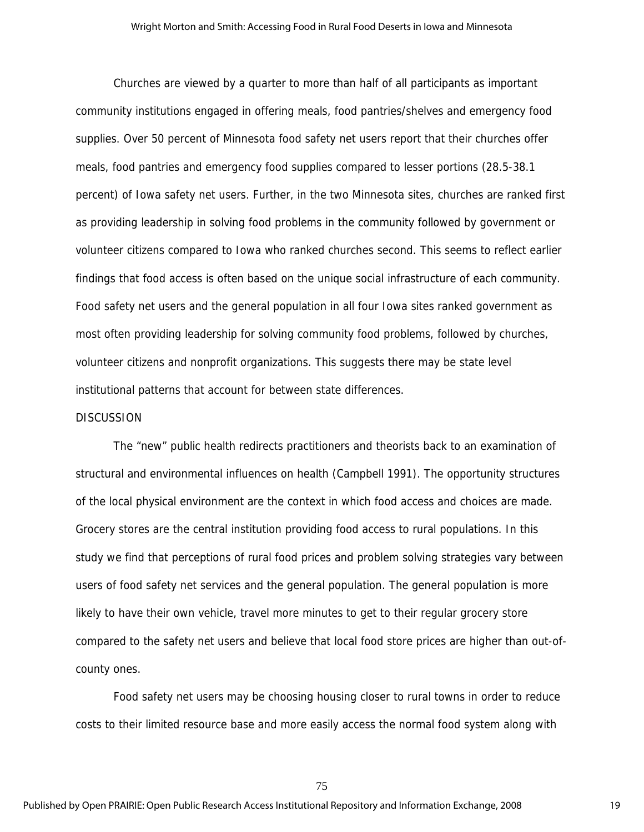Churches are viewed by a quarter to more than half of all participants as important community institutions engaged in offering meals, food pantries/shelves and emergency food supplies. Over 50 percent of Minnesota food safety net users report that their churches offer meals, food pantries and emergency food supplies compared to lesser portions (28.5-38.1 percent) of Iowa safety net users. Further, in the two Minnesota sites, churches are ranked first as providing leadership in solving food problems in the community followed by government or volunteer citizens compared to Iowa who ranked churches second. This seems to reflect earlier findings that food access is often based on the unique social infrastructure of each community. Food safety net users and the general population in all four Iowa sites ranked government as most often providing leadership for solving community food problems, followed by churches, volunteer citizens and nonprofit organizations. This suggests there may be state level institutional patterns that account for between state differences.

#### DISCUSSION

The "new" public health redirects practitioners and theorists back to an examination of structural and environmental influences on health (Campbell 1991). The opportunity structures of the local physical environment are the context in which food access and choices are made. Grocery stores are the central institution providing food access to rural populations. In this study we find that perceptions of rural food prices and problem solving strategies vary between users of food safety net services and the general population. The general population is more likely to have their own vehicle, travel more minutes to get to their regular grocery store compared to the safety net users and believe that local food store prices are higher than out-ofcounty ones.

Food safety net users may be choosing housing closer to rural towns in order to reduce costs to their limited resource base and more easily access the normal food system along with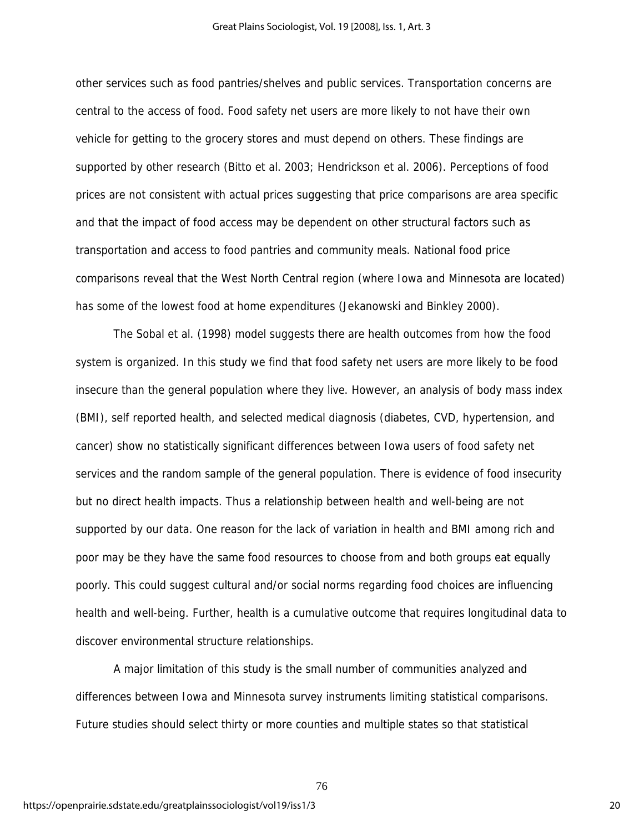other services such as food pantries/shelves and public services. Transportation concerns are central to the access of food. Food safety net users are more likely to not have their own vehicle for getting to the grocery stores and must depend on others. These findings are supported by other research (Bitto et al. 2003; Hendrickson et al. 2006). Perceptions of food prices are not consistent with actual prices suggesting that price comparisons are area specific and that the impact of food access may be dependent on other structural factors such as transportation and access to food pantries and community meals. National food price comparisons reveal that the West North Central region (where Iowa and Minnesota are located) has some of the lowest food at home expenditures (Jekanowski and Binkley 2000).

 The Sobal et al. (1998) model suggests there are health outcomes from how the food system is organized. In this study we find that food safety net users are more likely to be food insecure than the general population where they live. However, an analysis of body mass index (BMI), self reported health, and selected medical diagnosis (diabetes, CVD, hypertension, and cancer) show no statistically significant differences between Iowa users of food safety net services and the random sample of the general population. There is evidence of food insecurity but no direct health impacts. Thus a relationship between health and well-being are not supported by our data. One reason for the lack of variation in health and BMI among rich and poor may be they have the same food resources to choose from and both groups eat equally poorly. This could suggest cultural and/or social norms regarding food choices are influencing health and well-being. Further, health is a cumulative outcome that requires longitudinal data to discover environmental structure relationships.

A major limitation of this study is the small number of communities analyzed and differences between Iowa and Minnesota survey instruments limiting statistical comparisons. Future studies should select thirty or more counties and multiple states so that statistical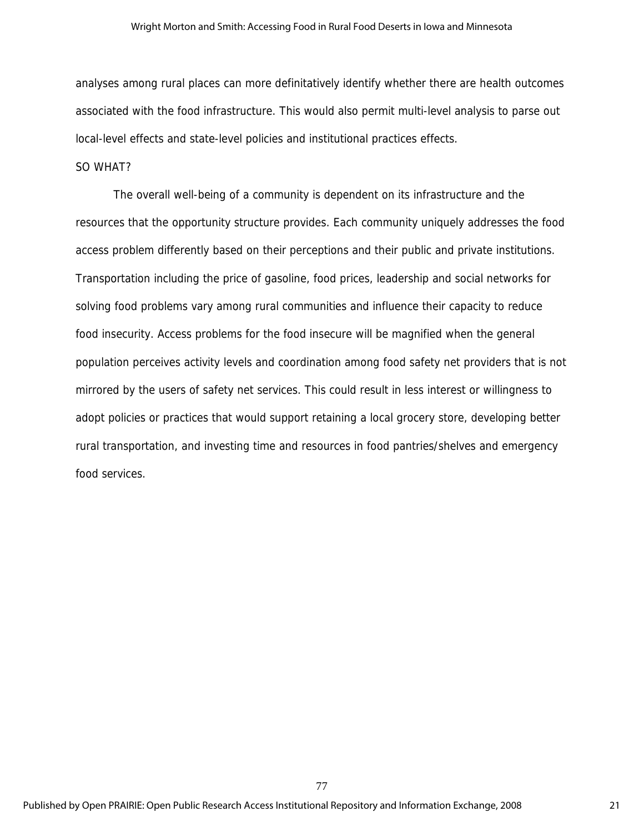#### Wright Morton and Smith: Accessing Food in Rural Food Deserts in Iowa and Minnesota

analyses among rural places can more definitatively identify whether there are health outcomes associated with the food infrastructure. This would also permit multi-level analysis to parse out local-level effects and state-level policies and institutional practices effects.

#### SO WHAT?

The overall well-being of a community is dependent on its infrastructure and the resources that the opportunity structure provides. Each community uniquely addresses the food access problem differently based on their perceptions and their public and private institutions. Transportation including the price of gasoline, food prices, leadership and social networks for solving food problems vary among rural communities and influence their capacity to reduce food insecurity. Access problems for the food insecure will be magnified when the general population perceives activity levels and coordination among food safety net providers that is not mirrored by the users of safety net services. This could result in less interest or willingness to adopt policies or practices that would support retaining a local grocery store, developing better rural transportation, and investing time and resources in food pantries/shelves and emergency food services.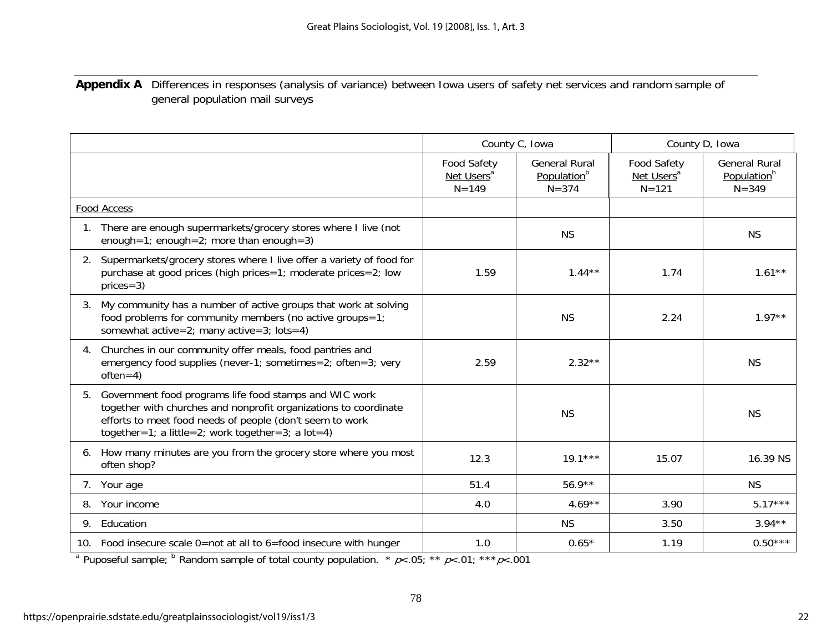## **Appendix A** Differences in responses (analysis of variance) between Iowa users of safety net services and random sample of general population mail surveys

|    |                                                                                                                                                                                                                                             |                                                           | County C, Iowa                                               | County D, Iowa                                            |                                                              |  |
|----|---------------------------------------------------------------------------------------------------------------------------------------------------------------------------------------------------------------------------------------------|-----------------------------------------------------------|--------------------------------------------------------------|-----------------------------------------------------------|--------------------------------------------------------------|--|
|    |                                                                                                                                                                                                                                             | <b>Food Safety</b><br>Net Users <sup>a</sup><br>$N = 149$ | <b>General Rural</b><br>Population <sup>b</sup><br>$N = 374$ | <b>Food Safety</b><br>Net Users <sup>a</sup><br>$N = 121$ | <b>General Rural</b><br>Population <sup>b</sup><br>$N = 349$ |  |
|    | <b>Food Access</b>                                                                                                                                                                                                                          |                                                           |                                                              |                                                           |                                                              |  |
|    | There are enough supermarkets/grocery stores where I live (not<br>enough=1; enough=2; more than enough=3)                                                                                                                                   |                                                           | <b>NS</b>                                                    |                                                           | <b>NS</b>                                                    |  |
|    | 2. Supermarkets/grocery stores where I live offer a variety of food for<br>purchase at good prices (high prices=1; moderate prices=2; low<br>$prices = 3)$                                                                                  | 1.59                                                      | $1.44***$                                                    | 1.74                                                      | $1.61**$                                                     |  |
| 3. | My community has a number of active groups that work at solving<br>food problems for community members (no active groups=1;<br>somewhat $active=2$ ; many $active=3$ ; $ lots=4$ )                                                          |                                                           | <b>NS</b>                                                    | 2.24                                                      | $1.97**$                                                     |  |
| 4. | Churches in our community offer meals, food pantries and<br>emergency food supplies (never-1; sometimes=2; often=3; very<br>$often=4)$                                                                                                      | 2.59                                                      | $2.32**$                                                     |                                                           | <b>NS</b>                                                    |  |
| 5. | Government food programs life food stamps and WIC work<br>together with churches and nonprofit organizations to coordinate<br>efforts to meet food needs of people (don't seem to work<br>together=1; a little=2; work together=3; a lot=4) |                                                           | <b>NS</b>                                                    |                                                           | <b>NS</b>                                                    |  |
| 6. | How many minutes are you from the grocery store where you most<br>often shop?                                                                                                                                                               | 12.3                                                      | $19.1***$                                                    | 15.07                                                     | 16.39 NS                                                     |  |
|    | 7. Your age                                                                                                                                                                                                                                 | 51.4                                                      | $56.9**$                                                     |                                                           | <b>NS</b>                                                    |  |
| 8. | Your income                                                                                                                                                                                                                                 | 4.0                                                       | $4.69**$                                                     | 3.90                                                      | $5.17***$                                                    |  |
|    | 9. Education                                                                                                                                                                                                                                |                                                           | <b>NS</b>                                                    | 3.50                                                      | $3.94**$                                                     |  |
|    | 10. Food insecure scale 0=not at all to 6=food insecure with hunger                                                                                                                                                                         | 1.0                                                       | $0.65*$                                                      | 1.19                                                      | $0.50***$                                                    |  |

<sup>a</sup> Puposeful sample; <sup>b</sup> Random sample of total county population. \*  $p$ <.05; \*\*  $p$ <.01; \*\*\* $p$ <.001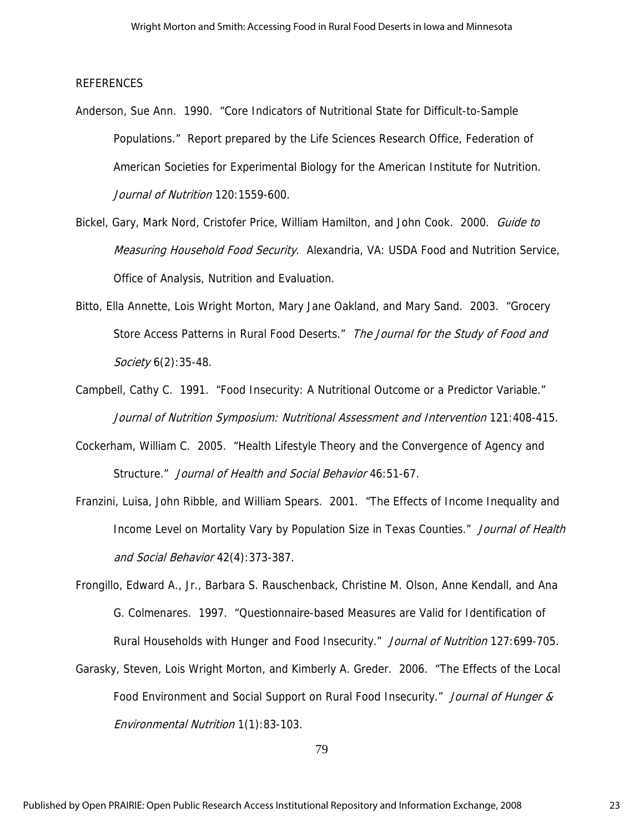#### REFERENCES

- Anderson, Sue Ann. 1990. "Core Indicators of Nutritional State for Difficult-to-Sample Populations." Report prepared by the Life Sciences Research Office, Federation of American Societies for Experimental Biology for the American Institute for Nutrition. Journal of Nutrition 120:1559-600.
- Bickel, Gary, Mark Nord, Cristofer Price, William Hamilton, and John Cook. 2000. Guide to Measuring Household Food Security. Alexandria, VA: USDA Food and Nutrition Service, Office of Analysis, Nutrition and Evaluation.
- Bitto, Ella Annette, Lois Wright Morton, Mary Jane Oakland, and Mary Sand. 2003. "Grocery Store Access Patterns in Rural Food Deserts." The Journal for the Study of Food and Society 6(2):35-48.
- Campbell, Cathy C. 1991. "Food Insecurity: A Nutritional Outcome or a Predictor Variable." Journal of Nutrition Symposium: Nutritional Assessment and Intervention 121:408-415.
- Cockerham, William C. 2005. "Health Lifestyle Theory and the Convergence of Agency and Structure." Journal of Health and Social Behavior 46:51-67.
- Franzini, Luisa, John Ribble, and William Spears. 2001. "The Effects of Income Inequality and Income Level on Mortality Vary by Population Size in Texas Counties." Journal of Health and Social Behavior 42(4):373-387.
- Frongillo, Edward A., Jr., Barbara S. Rauschenback, Christine M. Olson, Anne Kendall, and Ana G. Colmenares. 1997. "Questionnaire-based Measures are Valid for Identification of Rural Households with Hunger and Food Insecurity." Journal of Nutrition 127:699-705.
- Garasky, Steven, Lois Wright Morton, and Kimberly A. Greder. 2006. "The Effects of the Local Food Environment and Social Support on Rural Food Insecurity." Journal of Hunger & Environmental Nutrition 1(1):83-103.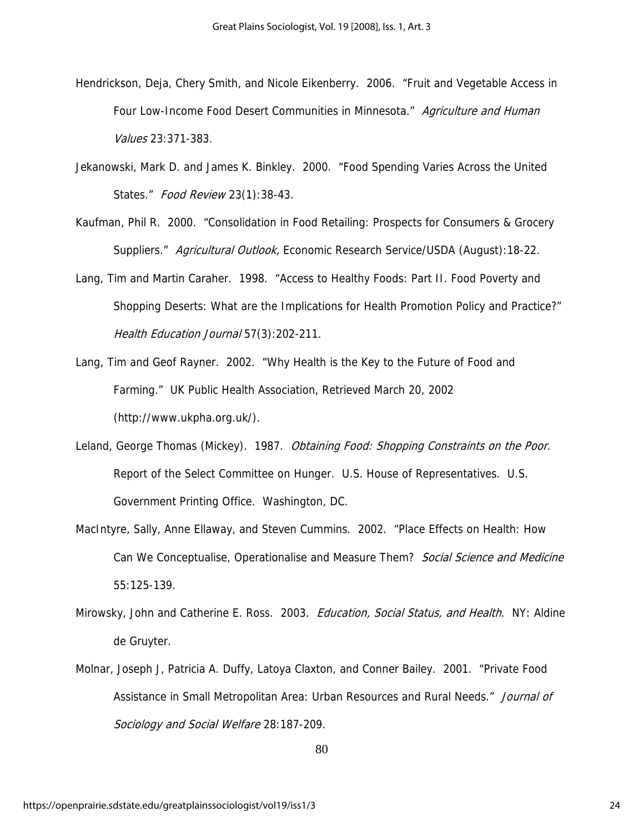- Hendrickson, Deja, Chery Smith, and Nicole Eikenberry. 2006. "Fruit and Vegetable Access in Four Low-Income Food Desert Communities in Minnesota." Agriculture and Human Values 23:371-383.
- Jekanowski, Mark D. and James K. Binkley. 2000. "Food Spending Varies Across the United States." Food Review 23(1):38-43.
- Kaufman, Phil R. 2000. "Consolidation in Food Retailing: Prospects for Consumers & Grocery Suppliers." Agricultural Outlook, Economic Research Service/USDA (August):18-22.
- Lang, Tim and Martin Caraher. 1998. "Access to Healthy Foods: Part II. Food Poverty and Shopping Deserts: What are the Implications for Health Promotion Policy and Practice?" Health Education Journal 57(3): 202-211.
- Lang, Tim and Geof Rayner. 2002. "Why Health is the Key to the Future of Food and Farming." UK Public Health Association, Retrieved March 20, 2002 (http://www.ukpha.org.uk/).
- Leland, George Thomas (Mickey). 1987. Obtaining Food: Shopping Constraints on the Poor. Report of the Select Committee on Hunger. U.S. House of Representatives. U.S. Government Printing Office. Washington, DC.
- MacIntyre, Sally, Anne Ellaway, and Steven Cummins. 2002. "Place Effects on Health: How Can We Conceptualise, Operationalise and Measure Them? Social Science and Medicine 55:125-139.
- Mirowsky, John and Catherine E. Ross. 2003. *Education, Social Status, and Health*. NY: Aldine de Gruyter.
- Molnar, Joseph J, Patricia A. Duffy, Latoya Claxton, and Conner Bailey. 2001. "Private Food Assistance in Small Metropolitan Area: Urban Resources and Rural Needs." Journal of Sociology and Social Welfare 28:187-209.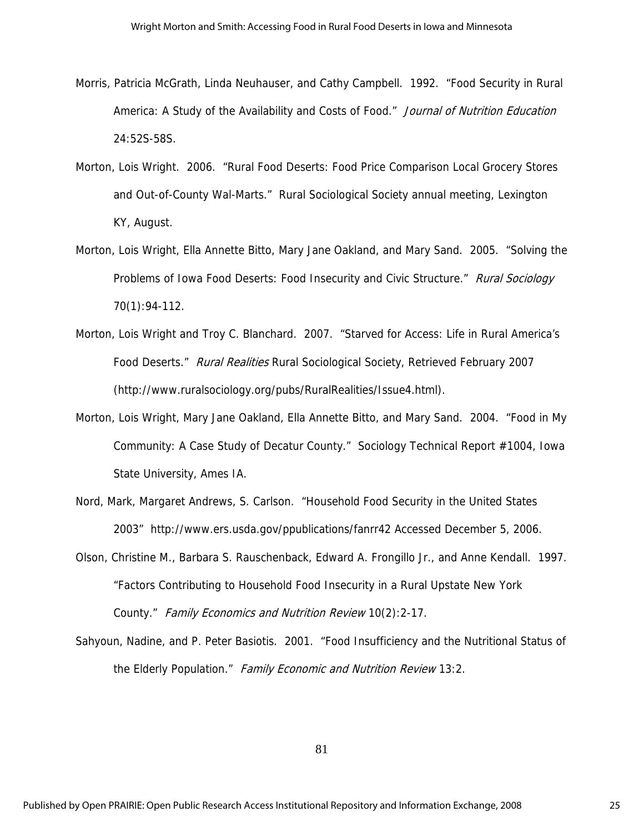- Morris, Patricia McGrath, Linda Neuhauser, and Cathy Campbell. 1992. "Food Security in Rural America: A Study of the Availability and Costs of Food." Journal of Nutrition Education 24:52S-58S.
- Morton, Lois Wright. 2006. "Rural Food Deserts: Food Price Comparison Local Grocery Stores and Out-of-County Wal-Marts." Rural Sociological Society annual meeting, Lexington KY, August.
- Morton, Lois Wright, Ella Annette Bitto, Mary Jane Oakland, and Mary Sand. 2005. "Solving the Problems of Iowa Food Deserts: Food Insecurity and Civic Structure." Rural Sociology 70(1):94-112.
- Morton, Lois Wright and Troy C. Blanchard. 2007. "Starved for Access: Life in Rural America's Food Deserts." Rural Realities Rural Sociological Society, Retrieved February 2007 (http://www.ruralsociology.org/pubs/RuralRealities/Issue4.html).
- Morton, Lois Wright, Mary Jane Oakland, Ella Annette Bitto, and Mary Sand. 2004. "Food in My Community: A Case Study of Decatur County." Sociology Technical Report #1004, Iowa State University, Ames IA.
- Nord, Mark, Margaret Andrews, S. Carlson. "Household Food Security in the United States 2003" http://www.ers.usda.gov/ppublications/fanrr42 Accessed December 5, 2006.
- Olson, Christine M., Barbara S. Rauschenback, Edward A. Frongillo Jr., and Anne Kendall. 1997. "Factors Contributing to Household Food Insecurity in a Rural Upstate New York County." Family Economics and Nutrition Review 10(2):2-17.
- Sahyoun, Nadine, and P. Peter Basiotis. 2001. "Food Insufficiency and the Nutritional Status of the Elderly Population." Family Economic and Nutrition Review 13:2.